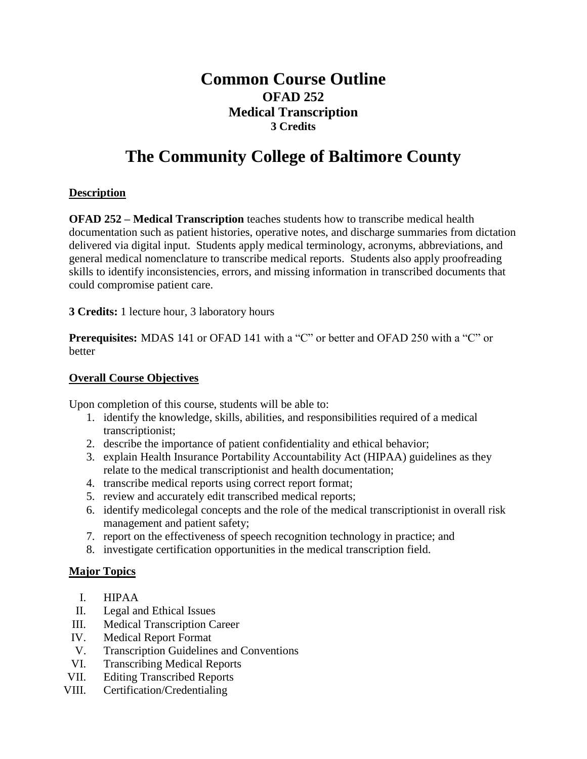# **Common Course Outline OFAD 252 Medical Transcription 3 Credits**

# **The Community College of Baltimore County**

# **Description**

**OFAD 252 – Medical Transcription** teaches students how to transcribe medical health documentation such as patient histories, operative notes, and discharge summaries from dictation delivered via digital input. Students apply medical terminology, acronyms, abbreviations, and general medical nomenclature to transcribe medical reports. Students also apply proofreading skills to identify inconsistencies, errors, and missing information in transcribed documents that could compromise patient care.

**3 Credits:** 1 lecture hour, 3 laboratory hours

**Prerequisites:** MDAS 141 or OFAD 141 with a "C" or better and OFAD 250 with a "C" or better

#### **Overall Course Objectives**

Upon completion of this course, students will be able to:

- 1. identify the knowledge, skills, abilities, and responsibilities required of a medical transcriptionist;
- 2. describe the importance of patient confidentiality and ethical behavior;
- 3. explain Health Insurance Portability Accountability Act (HIPAA) guidelines as they relate to the medical transcriptionist and health documentation;
- 4. transcribe medical reports using correct report format;
- 5. review and accurately edit transcribed medical reports;
- 6. identify medicolegal concepts and the role of the medical transcriptionist in overall risk management and patient safety;
- 7. report on the effectiveness of speech recognition technology in practice; and
- 8. investigate certification opportunities in the medical transcription field.

## **Major Topics**

- I. HIPAA
- II. Legal and Ethical Issues
- III. Medical Transcription Career
- IV. Medical Report Format
- V. Transcription Guidelines and Conventions
- VI. Transcribing Medical Reports
- VII. Editing Transcribed Reports
- VIII. Certification/Credentialing